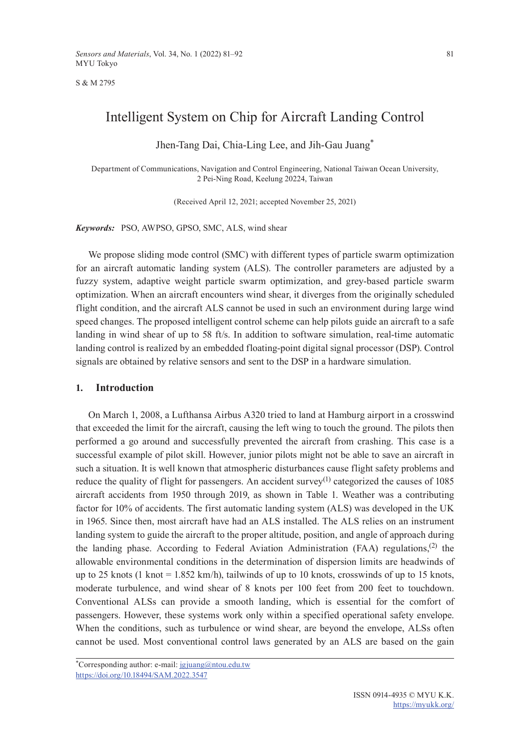S & M 2795

# Intelligent System on Chip for Aircraft Landing Control

Jhen-Tang Dai, Chia-Ling Lee, and Jih-Gau Juang\*

Department of Communications, Navigation and Control Engineering, National Taiwan Ocean University, 2 Pei-Ning Road, Keelung 20224, Taiwan

(Received April 12, 2021; accepted November 25, 2021)

*Keywords:* PSO, AWPSO, GPSO, SMC, ALS, wind shear

We propose sliding mode control (SMC) with different types of particle swarm optimization for an aircraft automatic landing system (ALS). The controller parameters are adjusted by a fuzzy system, adaptive weight particle swarm optimization, and grey-based particle swarm optimization. When an aircraft encounters wind shear, it diverges from the originally scheduled flight condition, and the aircraft ALS cannot be used in such an environment during large wind speed changes. The proposed intelligent control scheme can help pilots guide an aircraft to a safe landing in wind shear of up to 58 ft/s. In addition to software simulation, real-time automatic landing control is realized by an embedded floating-point digital signal processor (DSP). Control signals are obtained by relative sensors and sent to the DSP in a hardware simulation.

## **1. Introduction**

On March 1, 2008, a Lufthansa Airbus A320 tried to land at Hamburg airport in a crosswind that exceeded the limit for the aircraft, causing the left wing to touch the ground. The pilots then performed a go around and successfully prevented the aircraft from crashing. This case is a successful example of pilot skill. However, junior pilots might not be able to save an aircraft in such a situation. It is well known that atmospheric disturbances cause flight safety problems and reduce the quality of flight for passengers. An accident survey<sup>(1)</sup> categorized the causes of  $1085$ aircraft accidents from 1950 through 2019, as shown in Table 1. Weather was a contributing factor for 10% of accidents. The first automatic landing system (ALS) was developed in the UK in 1965. Since then, most aircraft have had an ALS installed. The ALS relies on an instrument landing system to guide the aircraft to the proper altitude, position, and angle of approach during the landing phase. According to Federal Aviation Administration (FAA) regulations,<sup>(2)</sup> the allowable environmental conditions in the determination of dispersion limits are headwinds of up to 25 knots (1 knot  $= 1.852$  km/h), tailwinds of up to 10 knots, crosswinds of up to 15 knots, moderate turbulence, and wind shear of 8 knots per 100 feet from 200 feet to touchdown. Conventional ALSs can provide a smooth landing, which is essential for the comfort of passengers. However, these systems work only within a specified operational safety envelope. When the conditions, such as turbulence or wind shear, are beyond the envelope, ALSs often cannot be used. Most conventional control laws generated by an ALS are based on the gain

\*Corresponding author: e-mail: [jgjuang@ntou.edu.tw](mailto:jgjuang@ntou.edu.tw) <https://doi.org/10.18494/SAM.2022.3547>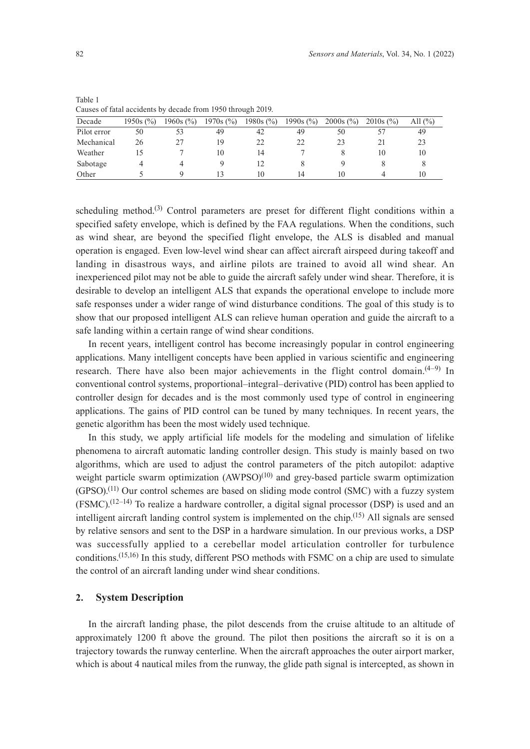| Causes of fatal accidents by decade from 1990 through 2019. |             |             |             |               |               |             |             |           |
|-------------------------------------------------------------|-------------|-------------|-------------|---------------|---------------|-------------|-------------|-----------|
| Decade                                                      | $1950s$ (%) | $1960s$ (%) | $1970s$ (%) | 1980s $(\% )$ | 1990s $(\% )$ | $2000s$ (%) | $2010s$ (%) | All $(\%$ |
| Pilot error                                                 | 50          |             | 49          | 42            | 49            | 50          |             | 49        |
| Mechanical                                                  | 26          |             | 19          |               | 22            | 23          |             | 23        |
| Weather                                                     |             |             | 10          | 14            |               |             | 10          | 10        |
| Sabotage                                                    |             |             |             |               |               |             |             |           |
| Other                                                       |             |             |             |               |               | 10          |             | 10        |

Table 1  $C_1$  and  $C_2$  of fatal accidents by decade from 1050 through 2010.

scheduling method.<sup>(3)</sup> Control parameters are preset for different flight conditions within a specified safety envelope, which is defined by the FAA regulations. When the conditions, such as wind shear, are beyond the specified flight envelope, the ALS is disabled and manual operation is engaged. Even low-level wind shear can affect aircraft airspeed during takeoff and landing in disastrous ways, and airline pilots are trained to avoid all wind shear. An inexperienced pilot may not be able to guide the aircraft safely under wind shear. Therefore, it is desirable to develop an intelligent ALS that expands the operational envelope to include more safe responses under a wider range of wind disturbance conditions. The goal of this study is to show that our proposed intelligent ALS can relieve human operation and guide the aircraft to a safe landing within a certain range of wind shear conditions.

In recent years, intelligent control has become increasingly popular in control engineering applications. Many intelligent concepts have been applied in various scientific and engineering research. There have also been major achievements in the flight control domain.  $(4-9)$  In conventional control systems, proportional–integral–derivative (PID) control has been applied to controller design for decades and is the most commonly used type of control in engineering applications. The gains of PID control can be tuned by many techniques. In recent years, the genetic algorithm has been the most widely used technique.

In this study, we apply artificial life models for the modeling and simulation of lifelike phenomena to aircraft automatic landing controller design. This study is mainly based on two algorithms, which are used to adjust the control parameters of the pitch autopilot: adaptive weight particle swarm optimization  $(AWPSO)^{(10)}$  and grey-based particle swarm optimization  $(GPSO)$ .<sup>(11)</sup> Our control schemes are based on sliding mode control (SMC) with a fuzzy system  $(FSMC)$ .<sup>(12–14)</sup> To realize a hardware controller, a digital signal processor (DSP) is used and an intelligent aircraft landing control system is implemented on the chip.<sup>(15)</sup> All signals are sensed by relative sensors and sent to the DSP in a hardware simulation. In our previous works, a DSP was successfully applied to a cerebellar model articulation controller for turbulence conditions.(15,16) In this study, different PSO methods with FSMC on a chip are used to simulate the control of an aircraft landing under wind shear conditions.

## **2. System Description**

In the aircraft landing phase, the pilot descends from the cruise altitude to an altitude of approximately 1200 ft above the ground. The pilot then positions the aircraft so it is on a trajectory towards the runway centerline. When the aircraft approaches the outer airport marker, which is about 4 nautical miles from the runway, the glide path signal is intercepted, as shown in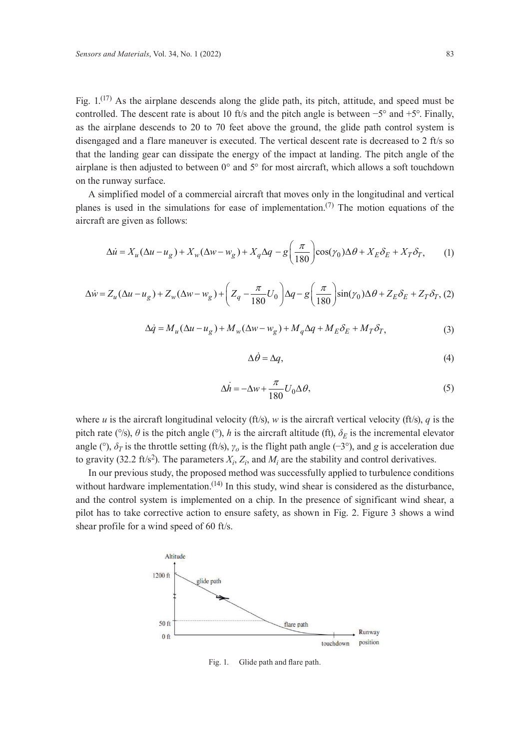Fig.  $1^{(17)}$  As the airplane descends along the glide path, its pitch, attitude, and speed must be controlled. The descent rate is about 10 ft/s and the pitch angle is between −5° and +5°. Finally, as the airplane descends to 20 to 70 feet above the ground, the glide path control system is disengaged and a flare maneuver is executed. The vertical descent rate is decreased to 2 ft/s so that the landing gear can dissipate the energy of the impact at landing. The pitch angle of the airplane is then adjusted to between  $0^{\circ}$  and  $5^{\circ}$  for most aircraft, which allows a soft touchdown on the runway surface.

A simplified model of a commercial aircraft that moves only in the longitudinal and vertical planes is used in the simulations for ease of implementation.<sup>(7)</sup> The motion equations of the aircraft are given as follows:

$$
\Delta \dot{u} = X_u (\Delta u - u_g) + X_w (\Delta w - w_g) + X_q \Delta q - g \left(\frac{\pi}{180}\right) \cos(\gamma_0) \Delta \theta + X_E \delta_E + X_T \delta_T, \tag{1}
$$

$$
\Delta \dot{w} = Z_u (\Delta u - u_g) + Z_w (\Delta w - w_g) + \left(Z_q - \frac{\pi}{180} U_0\right) \Delta q - g \left(\frac{\pi}{180}\right) \sin(\gamma_0) \Delta \theta + Z_E \delta_E + Z_T \delta_T, (2)
$$

$$
\Delta \dot{q} = M_u (\Delta u - u_g) + M_w (\Delta w - w_g) + M_q \Delta q + M_E \delta_E + M_T \delta_T, \tag{3}
$$

$$
\Delta \dot{\theta} = \Delta q,\tag{4}
$$

$$
\Delta \dot{h} = -\Delta w + \frac{\pi}{180} U_0 \Delta \theta,\tag{5}
$$

where *u* is the aircraft longitudinal velocity (ft/s), *w* is the aircraft vertical velocity (ft/s), *q* is the pitch rate ( $\degree$ /s),  $\theta$  is the pitch angle ( $\degree$ ), *h* is the aircraft altitude (ft),  $\delta_F$  is the incremental elevator angle (°),  $\delta_T$  is the throttle setting (ft/s),  $\gamma_o$  is the flight path angle (−3°), and *g* is acceleration due to gravity (32.2 ft/s<sup>2</sup>). The parameters  $X_i$ ,  $Z_i$ , and  $M_i$  are the stability and control derivatives.

In our previous study, the proposed method was successfully applied to turbulence conditions without hardware implementation.<sup>(14)</sup> In this study, wind shear is considered as the disturbance, and the control system is implemented on a chip. In the presence of significant wind shear, a pilot has to take corrective action to ensure safety, as shown in Fig. 2. Figure 3 shows a wind shear profile for a wind speed of 60 ft/s.



Fig. 1. Glide path and flare path.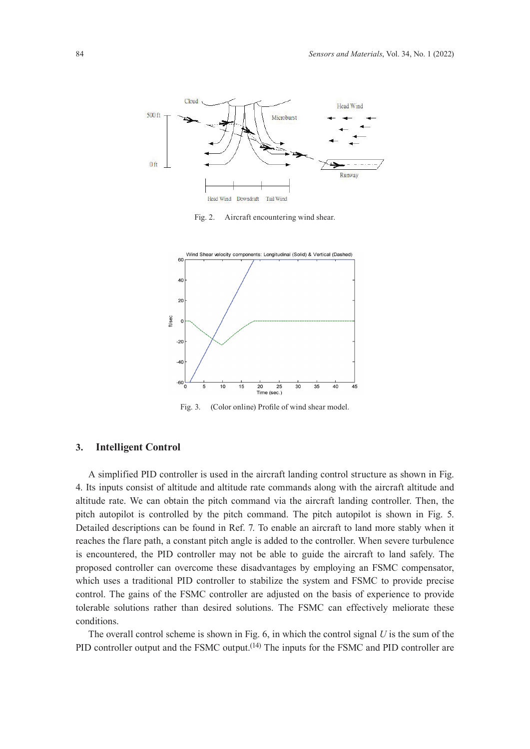

Fig. 2. Aircraft encountering wind shear.



Fig. 3. (Color online) Profile of wind shear model.

## **3. Intelligent Control**

A simplified PID controller is used in the aircraft landing control structure as shown in Fig. 4. Its inputs consist of altitude and altitude rate commands along with the aircraft altitude and altitude rate. We can obtain the pitch command via the aircraft landing controller. Then, the pitch autopilot is controlled by the pitch command. The pitch autopilot is shown in Fig. 5. Detailed descriptions can be found in Ref. 7. To enable an aircraft to land more stably when it reaches the flare path, a constant pitch angle is added to the controller. When severe turbulence is encountered, the PID controller may not be able to guide the aircraft to land safely. The proposed controller can overcome these disadvantages by employing an FSMC compensator, which uses a traditional PID controller to stabilize the system and FSMC to provide precise control. The gains of the FSMC controller are adjusted on the basis of experience to provide tolerable solutions rather than desired solutions. The FSMC can effectively meliorate these conditions.

The overall control scheme is shown in Fig. 6, in which the control signal *U* is the sum of the PID controller output and the FSMC output.<sup>(14)</sup> The inputs for the FSMC and PID controller are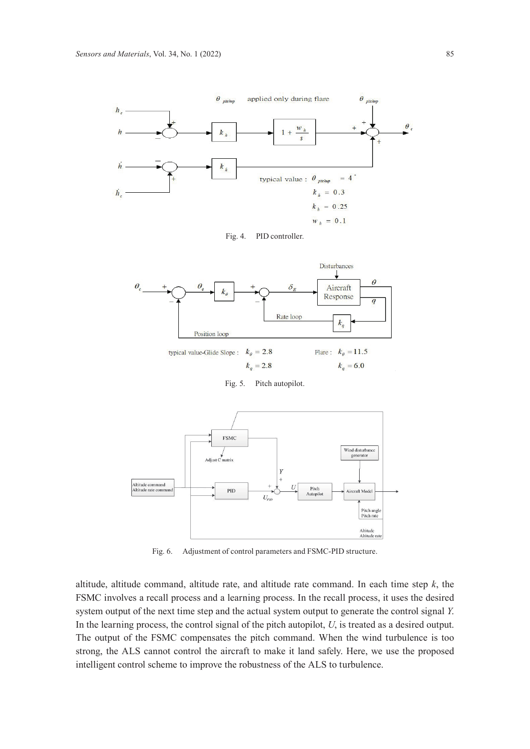





 $k_a = 2.8$  $k_a = 6.0$ 

Fig. 5. Pitch autopilot.



Fig. 6. Adjustment of control parameters and FSMC-PID structure.

altitude, altitude command, altitude rate, and altitude rate command. In each time step *k*, the FSMC involves a recall process and a learning process. In the recall process, it uses the desired system output of the next time step and the actual system output to generate the control signal *Y*. In the learning process, the control signal of the pitch autopilot, *U*, is treated as a desired output. The output of the FSMC compensates the pitch command. When the wind turbulence is too strong, the ALS cannot control the aircraft to make it land safely. Here, we use the proposed intelligent control scheme to improve the robustness of the ALS to turbulence.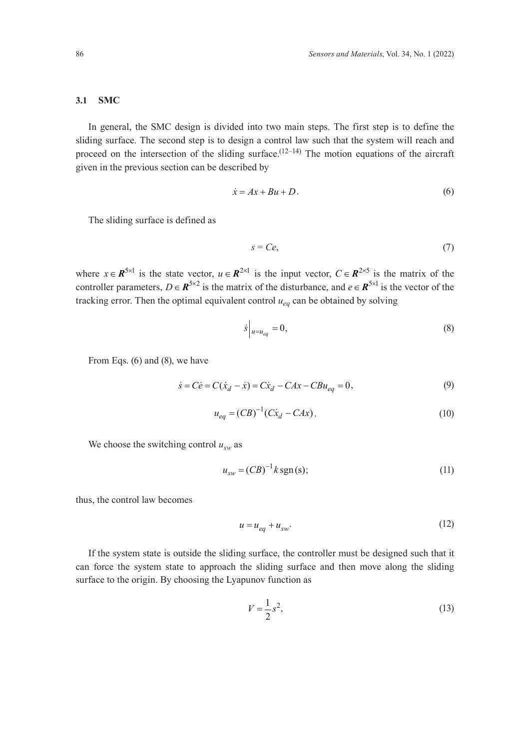#### **3.1 SMC**

In general, the SMC design is divided into two main steps. The first step is to define the sliding surface. The second step is to design a control law such that the system will reach and proceed on the intersection of the sliding surface.<sup> $(12-14)$ </sup> The motion equations of the aircraft given in the previous section can be described by

$$
\dot{x} = Ax + Bu + D. \tag{6}
$$

The sliding surface is defined as

$$
s = Ce,\tag{7}
$$

where  $x \in \mathbb{R}^{5 \times 1}$  is the state vector,  $u \in \mathbb{R}^{2 \times 1}$  is the input vector,  $C \in \mathbb{R}^{2 \times 5}$  is the matrix of the controller parameters,  $D \in \mathbb{R}^{5 \times 2}$  is the matrix of the disturbance, and  $e \in \mathbb{R}^{5 \times 1}$  is the vector of the tracking error. Then the optimal equivalent control *ueq* can be obtained by solving

$$
\dot{s}\Big|_{u=u_{eq}}=0,\tag{8}
$$

From Eqs. (6) and (8), we have

$$
\dot{s} = C\dot{e} = C(\dot{x}_d - \dot{x}) = C\dot{x}_d - CAx - CBu_{eq} = 0,
$$
\n(9)

$$
u_{eq} = (CB)^{-1}(Cx_d - CAx). \tag{10}
$$

We choose the switching control  $u_{sw}$  as

$$
u_{sw} = (CB)^{-1}k \operatorname{sgn}(s); \tag{11}
$$

thus, the control law becomes

$$
u = u_{eq} + u_{sw}.\tag{12}
$$

If the system state is outside the sliding surface, the controller must be designed such that it can force the system state to approach the sliding surface and then move along the sliding surface to the origin. By choosing the Lyapunov function as

$$
V = \frac{1}{2}s^2,
$$
 (13)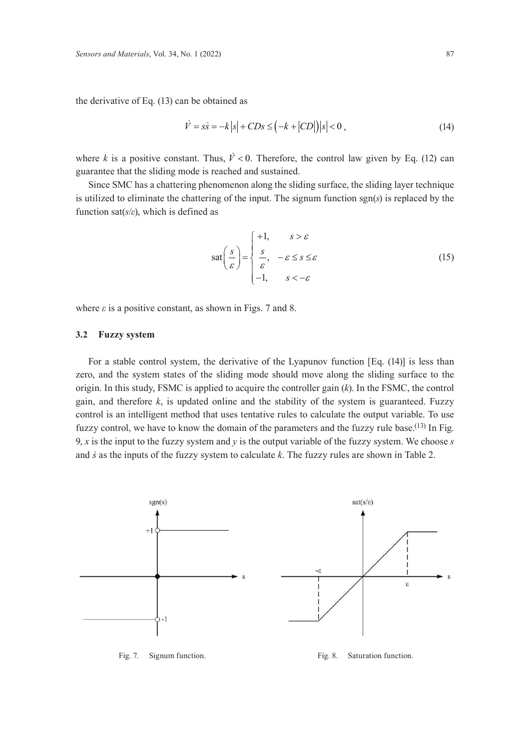the derivative of Eq. (13) can be obtained as

$$
\dot{V} = s\dot{s} = -k|s| + CDs \le (-k + |CD|)|s| < 0,
$$
\n(14)

where *k* is a positive constant. Thus,  $\dot{V} < 0$ . Therefore, the control law given by Eq. (12) can guarantee that the sliding mode is reached and sustained.

Since SMC has a chattering phenomenon along the sliding surface, the sliding layer technique is utilized to eliminate the chattering of the input. The signum function sgn(*s*) is replaced by the function sat(*s*/*ε*), which is defined as

$$
\text{sat}\left(\frac{s}{\varepsilon}\right) = \begin{cases} +1, & s > \varepsilon \\ \frac{s}{\varepsilon}, & -\varepsilon \le s \le \varepsilon \\ -1, & s < -\varepsilon \end{cases} \tag{15}
$$

where  $\varepsilon$  is a positive constant, as shown in Figs. 7 and 8.

## **3.2 Fuzzy system**

For a stable control system, the derivative of the Lyapunov function [Eq. (14)] is less than zero, and the system states of the sliding mode should move along the sliding surface to the origin. In this study, FSMC is applied to acquire the controller gain (*k*). In the FSMC, the control gain, and therefore *k*, is updated online and the stability of the system is guaranteed. Fuzzy control is an intelligent method that uses tentative rules to calculate the output variable. To use fuzzy control, we have to know the domain of the parameters and the fuzzy rule base.<sup>(13)</sup> In Fig. 9, *x* is the input to the fuzzy system and *y* is the output variable of the fuzzy system. We choose *s* and *s* as the inputs of the fuzzy system to calculate *k*. The fuzzy rules are shown in Table 2.



Fig. 7. Signum function. Fig. 8. Saturation function.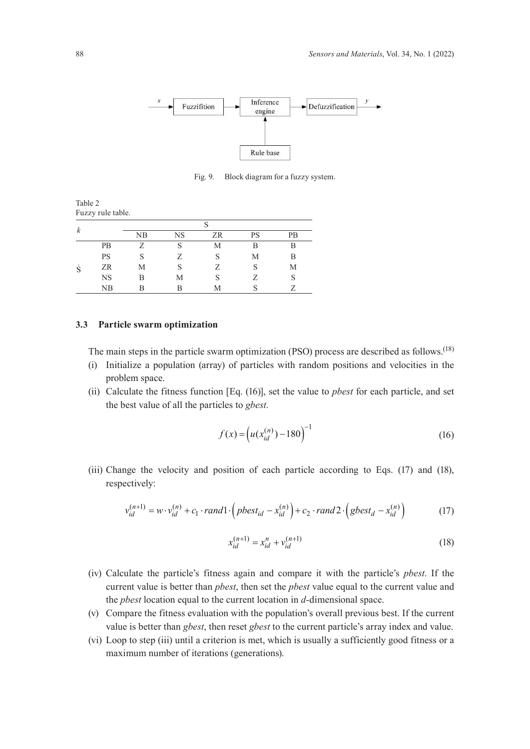

Fig. 9. Block diagram for a fuzzy system.

Table 2 Fuzzy rule table.

| $\boldsymbol{k}$ |             | NB | NS | ZR | <b>PS</b> | <b>PB</b> |  |  |
|------------------|-------------|----|----|----|-----------|-----------|--|--|
| S                | <b>PB</b>   |    | S  | М  | B         | В         |  |  |
|                  | <b>PS</b>   | S  |    | S  | М         | B         |  |  |
|                  | ZR          | Μ  |    | Z  | S         | М         |  |  |
|                  | <b>NS</b>   | В  | Μ  |    | 7         | S         |  |  |
|                  | $_{\rm NB}$ |    | R  | М  |           |           |  |  |

#### **3.3 Particle swarm optimization**

The main steps in the particle swarm optimization (PSO) process are described as follows.<sup>(18)</sup>

- (i) Initialize a population (array) of particles with random positions and velocities in the problem space.
- (ii) Calculate the fitness function [Eq. (16)], set the value to *pbest* for each particle, and set the best value of all the particles to *gbest*.

$$
f(x) = \left( u(x_{id}^{(n)}) - 180 \right)^{-1}
$$
 (16)

(iii) Change the velocity and position of each particle according to Eqs. (17) and (18), respectively:

$$
v_{id}^{(n+1)} = w \cdot v_{id}^{(n)} + c_1 \cdot rand1 \cdot \left( pbest_{id} - x_{id}^{(n)} \right) + c_2 \cdot rand2 \cdot \left( gbest_d - x_{id}^{(n)} \right) \tag{17}
$$

$$
x_{id}^{(n+1)} = x_{id}^n + v_{id}^{(n+1)}
$$
\n(18)

- (iv) Calculate the particle's fitness again and compare it with the particle's *pbest*. If the current value is better than *pbest*, then set the *pbest* value equal to the current value and the *pbest* location equal to the current location in *d*-dimensional space.
- (v) Compare the fitness evaluation with the population's overall previous best. If the current value is better than *gbest*, then reset *gbest* to the current particle's array index and value.
- (vi) Loop to step (iii) until a criterion is met, which is usually a sufficiently good fitness or a maximum number of iterations (generations).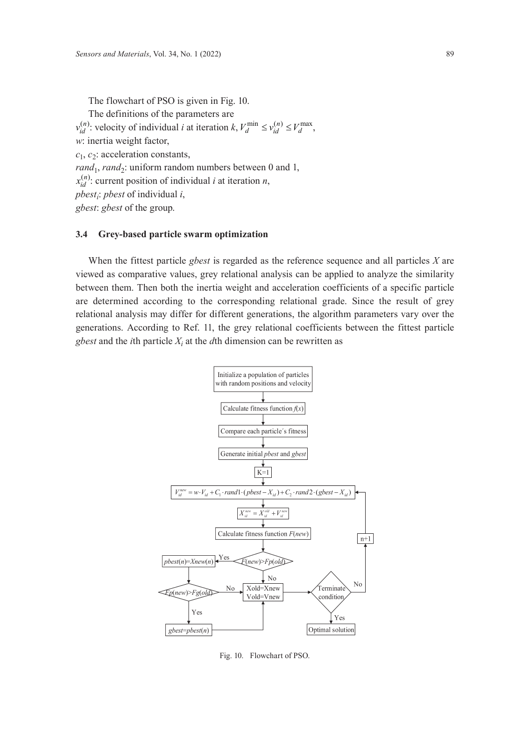The flowchart of PSO is given in Fig. 10. The definitions of the parameters are  $v_{id}^{(n)}$ : velocity of individual *i* at iteration *k*,  $V_d^{\min} \le v_{id}^{(n)} \le V_d^{\max}$ , *w*: inertia weight factor,  $c_1$ ,  $c_2$ : acceleration constants, *rand*<sub>1</sub>, *rand*<sub>2</sub>: uniform random numbers between 0 and 1,  $x_{id}^{(n)}$ : current position of individual *i* at iteration *n*, *pbesti* : *pbest* of individual *i*, *gbest*: *gbest* of the group.

### **3.4 Grey-based particle swarm optimization**

When the fittest particle *gbest* is regarded as the reference sequence and all particles *X* are viewed as comparative values, grey relational analysis can be applied to analyze the similarity between them. Then both the inertia weight and acceleration coefficients of a specific particle are determined according to the corresponding relational grade. Since the result of grey relational analysis may differ for different generations, the algorithm parameters vary over the generations. According to Ref. 11, the grey relational coefficients between the fittest particle *gbest* and the *i*th particle  $X_i$  at the *d*th dimension can be rewritten as



Fig. 10. Flowchart of PSO.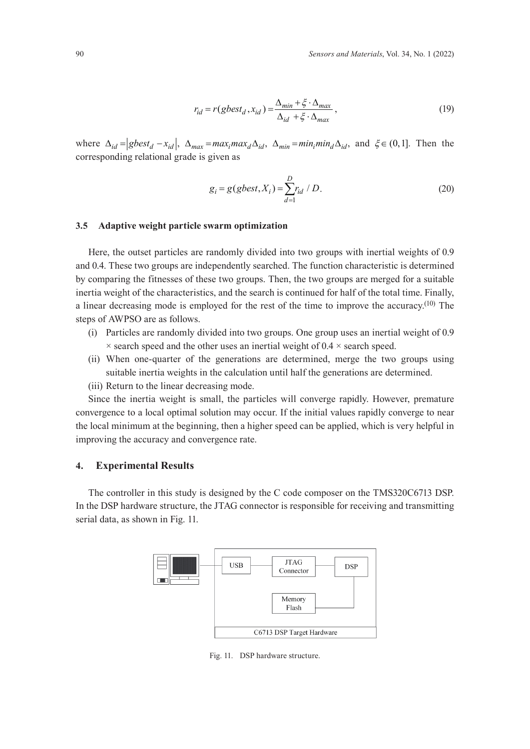$$
r_{id} = r(gbest_d, x_{id}) = \frac{\Delta_{min} + \xi \cdot \Delta_{max}}{\Delta_{id} + \xi \cdot \Delta_{max}},
$$
\n(19)

where  $\Delta_{id} = \left| gbest_d - x_{id} \right|$ ,  $\Delta_{max} = max_i max_d \Delta_{id}$ ,  $\Delta_{min} = min_i min_d \Delta_{id}$ , and  $\xi \in (0, 1]$ . Then the corresponding relational grade is given as

$$
g_i = g(gbest, X_i) = \sum_{d=1}^{D} r_{id} / D.
$$
 (20)

#### **3.5 Adaptive weight particle swarm optimization**

Here, the outset particles are randomly divided into two groups with inertial weights of 0.9 and 0.4. These two groups are independently searched. The function characteristic is determined by comparing the fitnesses of these two groups. Then, the two groups are merged for a suitable inertia weight of the characteristics, and the search is continued for half of the total time. Finally, a linear decreasing mode is employed for the rest of the time to improve the accuracy.<sup>(10)</sup> The steps of AWPSO are as follows.

- (i) Particles are randomly divided into two groups. One group uses an inertial weight of 0.9  $\times$  search speed and the other uses an inertial weight of 0.4  $\times$  search speed.
- (ii) When one-quarter of the generations are determined, merge the two groups using suitable inertia weights in the calculation until half the generations are determined.
- (iii) Return to the linear decreasing mode.

Since the inertia weight is small, the particles will converge rapidly. However, premature convergence to a local optimal solution may occur. If the initial values rapidly converge to near the local minimum at the beginning, then a higher speed can be applied, which is very helpful in improving the accuracy and convergence rate.

## **4. Experimental Results**

The controller in this study is designed by the C code composer on the TMS320C6713 DSP. In the DSP hardware structure, the JTAG connector is responsible for receiving and transmitting serial data, as shown in Fig. 11.



Fig. 11. DSP hardware structure.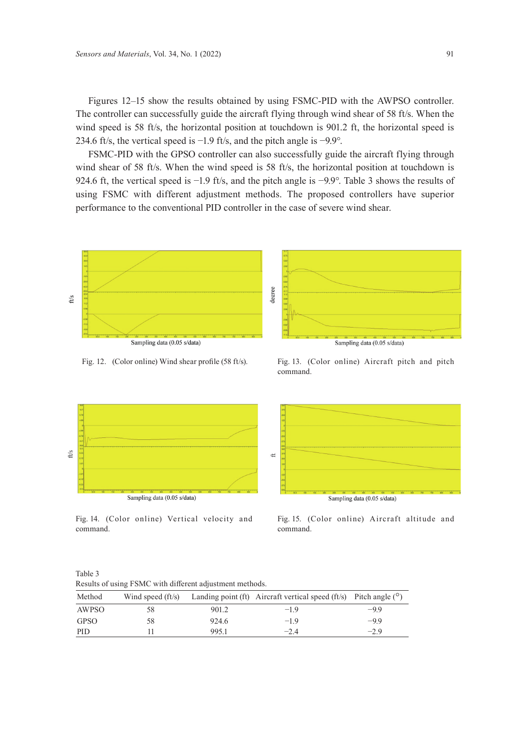Figures 12–15 show the results obtained by using FSMC-PID with the AWPSO controller. The controller can successfully guide the aircraft flying through wind shear of 58 ft/s. When the wind speed is 58 ft/s, the horizontal position at touchdown is 901.2 ft, the horizontal speed is 234.6 ft/s, the vertical speed is −1.9 ft/s, and the pitch angle is −9.9°.

FSMC-PID with the GPSO controller can also successfully guide the aircraft flying through wind shear of 58 ft/s. When the wind speed is 58 ft/s, the horizontal position at touchdown is 924.6 ft, the vertical speed is −1.9 ft/s, and the pitch angle is −9.9°. Table 3 shows the results of using FSMC with different adjustment methods. The proposed controllers have superior performance to the conventional PID controller in the case of severe wind shear.



Fig. 12. (Color online) Wind shear profile (58 ft/s). Fig. 13. (Color online) Aircraft pitch and pitch command.



Fig. 14. (Color online) Vertical velocity and command.

ft/s

Fig. 15. (Color online) Aircraft altitude and command.

Table 3 Results of using FSMC with different adjustment methods.

| Method      |     |       | Wind speed (ft/s) Landing point (ft) Aircraft vertical speed (ft/s) Pitch angle $(°)$ |        |
|-------------|-----|-------|---------------------------------------------------------------------------------------|--------|
| AWPSO       | 58. | 901.2 | $-19$                                                                                 | $-9.9$ |
| <b>GPSO</b> | 58  | 924.6 | $-1.9$                                                                                | $-9.9$ |
| <b>PID</b>  |     | 995.1 | $-2.4$                                                                                | $-2.9$ |